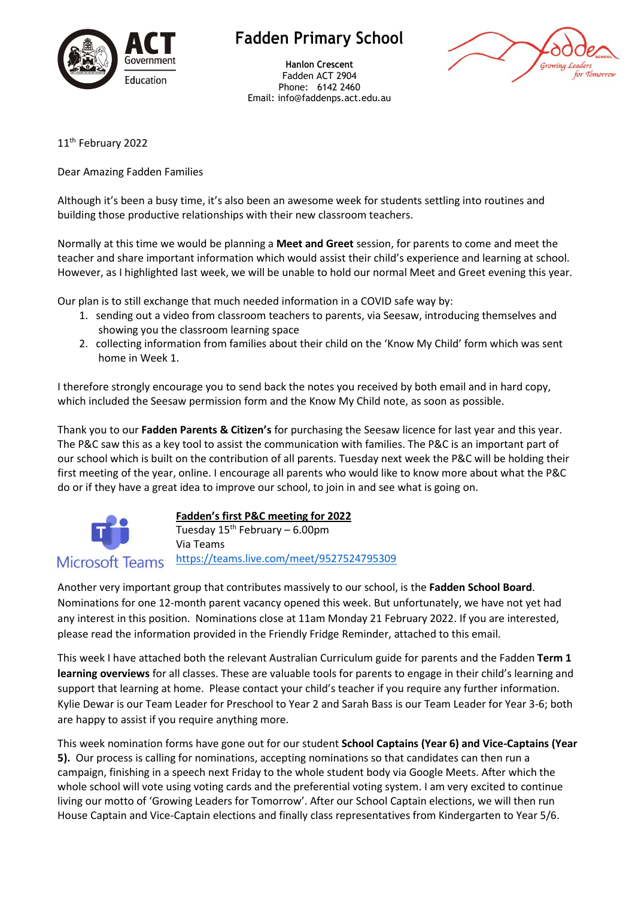

## **Fadden Primary School**

**Hanlon Crescent** Fadden ACT 2904 Phone: 6142 2460 Email: info@faddenps.act.edu.au



11<sup>th</sup> February 2022

Dear Amazing Fadden Families

Although it's been a busy time, it's also been an awesome week for students settling into routines and building those productive relationships with their new classroom teachers.

Normally at this time we would be planning a **Meet and Greet** session, for parents to come and meet the teacher and share important information which would assist their child's experience and learning at school. However, as I highlighted last week, we will be unable to hold our normal Meet and Greet evening this year.

Our plan is to still exchange that much needed information in a COVID safe way by:

- 1. sending out a video from classroom teachers to parents, via Seesaw, introducing themselves and showing you the classroom learning space
- 2. collecting information from families about their child on the 'Know My Child' form which was sent home in Week 1.

I therefore strongly encourage you to send back the notes you received by both email and in hard copy, which included the Seesaw permission form and the Know My Child note, as soon as possible.

Thank you to our **Fadden Parents & Citizen's** for purchasing the Seesaw licence for last year and this year. The P&C saw this as a key tool to assist the communication with families. The P&C is an important part of our school which is built on the contribution of all parents. Tuesday next week the P&C will be holding their first meeting of the year, online. I encourage all parents who would like to know more about what the P&C do or if they have a great idea to improve our school, to join in and see what is going on.



**Fadden's first P&C meeting for 2022**

Tuesday  $15<sup>th</sup>$  February – 6.00pm Via Teams [https://teams.live.com/meet/9527524795309](https://aus01.safelinks.protection.outlook.com/?url=https%3A%2F%2Fteams.live.com%2Fmeet%2F9527524795309&data=04%7C01%7C%7Cdbc074e7a5c140e1808f08d9ecfc7dd5%7Cf1d4a8326c2144759bf48cc7e9044a29%7C0%7C0%7C637801391922546603%7CUnknown%7CTWFpbGZsb3d8eyJWIjoiMC4wLjAwMDAiLCJQIjoiV2luMzIiLCJBTiI6Ik1haWwiLCJXVCI6Mn0%3D%7C3000&sdata=iAb4S%2BYL63ASIoB3TV8JIk%2B6jP66hD%2F2veQEd4fZc40%3D&reserved=0) **Microsoft Teams** 

Another very important group that contributes massively to our school, is the **Fadden School Board**. Nominations for one 12-month parent vacancy opened this week. But unfortunately, we have not yet had any interest in this position. Nominations close at 11am Monday 21 February 2022. If you are interested, please read the information provided in the Friendly Fridge Reminder, attached to this email.

This week I have attached both the relevant Australian Curriculum guide for parents and the Fadden **Term 1 learning overviews** for all classes. These are valuable tools for parents to engage in their child's learning and support that learning at home. Please contact your child's teacher if you require any further information. Kylie Dewar is our Team Leader for Preschool to Year 2 and Sarah Bass is our Team Leader for Year 3-6; both are happy to assist if you require anything more.

This week nomination forms have gone out for our student **School Captains (Year 6) and Vice-Captains (Year 5).** Our process is calling for nominations, accepting nominations so that candidates can then run a campaign, finishing in a speech next Friday to the whole student body via Google Meets. After which the whole school will vote using voting cards and the preferential voting system. I am very excited to continue living our motto of 'Growing Leaders for Tomorrow'. After our School Captain elections, we will then run House Captain and Vice-Captain elections and finally class representatives from Kindergarten to Year 5/6.